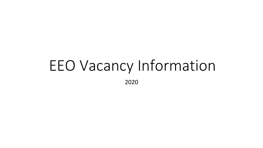## EEO Vacancy Information 2020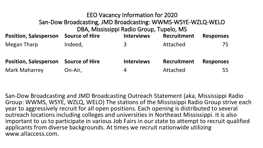| <b>EEO Vacancy Information for 2020</b><br>San-Dow Broadcasting, JMD Broadcasting: WWMS-WSYE-WZLQ-WELO<br>DBA, Mississippi Radio Group, Tupelo, MS |                       |                   |             |                  |
|----------------------------------------------------------------------------------------------------------------------------------------------------|-----------------------|-------------------|-------------|------------------|
| <b>Position, Salesperson</b>                                                                                                                       | <b>Source of Hire</b> | <b>Interviews</b> | Recruitment | <b>Responses</b> |
| <b>Megan Tharp</b>                                                                                                                                 | Indeed,               | 3                 | Attached    | 75               |
| <b>Position, Salesperson</b>                                                                                                                       | <b>Source of Hire</b> | <b>Interviews</b> | Recruitment | <b>Responses</b> |
| <b>Mark Maharrey</b>                                                                                                                               | On-Air,               | 4                 | Attached    | 55               |

San-Dow Broadcasting and JMD Broadcasting Outreach Statement (aka, Mississippi Radio Group: WWMS, WSYE, WZLQ, WELO) The stations of the Mississippi Radio Group strive each year to aggressively recruit for all open positions. Each opening is distributed to several outreach locations including colleges and universities in Northeast Mississippi. It is also important to us to participate in various Job Fairs in our state to attempt to recruit qualified applicants from diverse backgrounds. At times we recruit nationwide utilizing www.allaccess.com.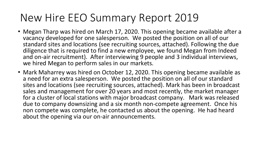## New Hire EEO Summary Report 2019

- Megan Tharp was hired on March 17, 2020. This opening became available after a vacancy developed for one salesperson. We posted the position on all of our standard sites and locations (see recruiting sources, attached). Following the due diligence that is required to find a new employee, we found Megan from Indeed and on-air recruitment). After interviewing 9 people and 3 individual interviews, we hired Megan to perform sales in our markets.
- Mark Maharrey was hired on October 12, 2020. This opening became available as a need for an extra salesperson. We posted the position on all of our standard sites and locations (see recruiting sources, attached). Mark has been in broadcast sales and management for over 20 years and most recently, the market manager for a cluster of local stations with major broadcast company. Mark was released due to company downsizing and a six month non-compete agreement. Once his non compete was complete, he contacted us about the opening. He had heard about the opening via our on-air announcements.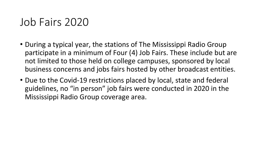## Job Fairs 2020

- During a typical year, the stations of The Mississippi Radio Group participate in a minimum of Four (4) Job Fairs. These include but are not limited to those held on college campuses, sponsored by local business concerns and jobs fairs hosted by other broadcast entities.
- Due to the Covid-19 restrictions placed by local, state and federal guidelines, no "in person" job fairs were conducted in 2020 in the Mississippi Radio Group coverage area.